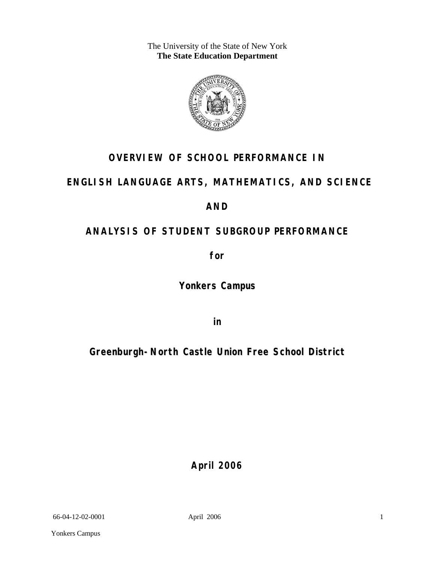The University of the State of New York **The State Education Department** 



# **OVERVIEW OF SCHOOL PERFORMANCE IN**

# **ENGLISH LANGUAGE ARTS, MATHEMATICS, AND SCIENCE**

# **AND**

# **ANALYSIS OF STUDENT SUBGROUP PERFORMANCE**

**for** 

**Yonkers Campus**

**in** 

# **Greenburgh-North Castle Union Free School District**

**April 2006**

66-04-12-02-0001 April 2006

1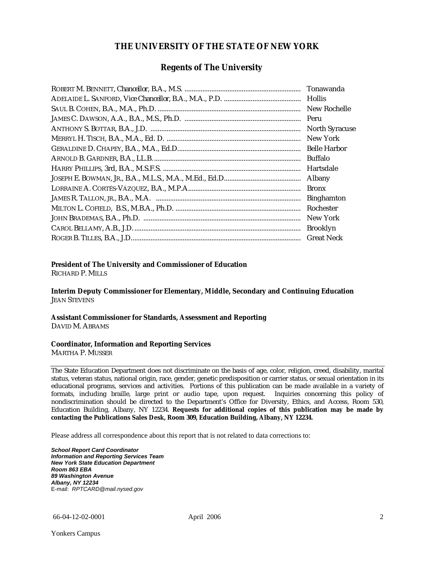### **THE UNIVERSITY OF THE STATE OF NEW YORK**

### **Regents of The University**

| Tonawanda             |
|-----------------------|
| <b>Hollis</b>         |
| New Rochelle          |
|                       |
| <b>North Syracuse</b> |
| New York              |
|                       |
| Buffalo               |
| Hartsdale             |
| Albany                |
| <b>Bronx</b>          |
| <b>Binghamton</b>     |
| Rochester             |
| New York              |
| <b>Brooklyn</b>       |
| <b>Great Neck</b>     |

### **President of The University and Commissioner of Education**

RICHARD P. MILLS

**Interim Deputy Commissioner for Elementary, Middle, Secondary and Continuing Education**  JEAN STEVENS

#### **Assistant Commissioner for Standards, Assessment and Reporting**  DAVID M. ABRAMS

#### **Coordinator, Information and Reporting Services**

MARTHA P. MUSSER

The State Education Department does not discriminate on the basis of age, color, religion, creed, disability, marital status, veteran status, national origin, race, gender, genetic predisposition or carrier status, or sexual orientation in its educational programs, services and activities. Portions of this publication can be made available in a variety of formats, including braille, large print or audio tape, upon request. Inquiries concerning this policy of nondiscrimination should be directed to the Department's Office for Diversity, Ethics, and Access, Room 530, Education Building, Albany, NY 12234. **Requests for additional copies of this publication may be made by contacting the Publications Sales Desk, Room 309, Education Building, Albany, NY 12234.** 

Please address all correspondence about this report that is not related to data corrections to:

*School Report Card Coordinator Information and Reporting Services Team New York State Education Department Room 863 EBA 89 Washington Avenue Albany, NY 12234*  E-mail: *RPTCARD@mail.nysed.gov*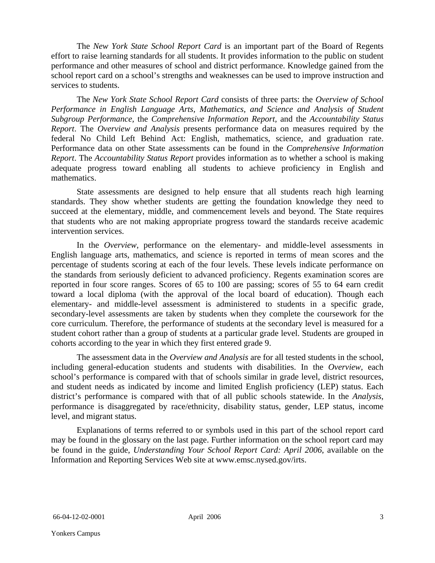The *New York State School Report Card* is an important part of the Board of Regents effort to raise learning standards for all students. It provides information to the public on student performance and other measures of school and district performance. Knowledge gained from the school report card on a school's strengths and weaknesses can be used to improve instruction and services to students.

The *New York State School Report Card* consists of three parts: the *Overview of School Performance in English Language Arts, Mathematics, and Science and Analysis of Student Subgroup Performance,* the *Comprehensive Information Report,* and the *Accountability Status Report*. The *Overview and Analysis* presents performance data on measures required by the federal No Child Left Behind Act: English, mathematics, science, and graduation rate. Performance data on other State assessments can be found in the *Comprehensive Information Report*. The *Accountability Status Report* provides information as to whether a school is making adequate progress toward enabling all students to achieve proficiency in English and mathematics.

State assessments are designed to help ensure that all students reach high learning standards. They show whether students are getting the foundation knowledge they need to succeed at the elementary, middle, and commencement levels and beyond. The State requires that students who are not making appropriate progress toward the standards receive academic intervention services.

In the *Overview*, performance on the elementary- and middle-level assessments in English language arts, mathematics, and science is reported in terms of mean scores and the percentage of students scoring at each of the four levels. These levels indicate performance on the standards from seriously deficient to advanced proficiency. Regents examination scores are reported in four score ranges. Scores of 65 to 100 are passing; scores of 55 to 64 earn credit toward a local diploma (with the approval of the local board of education). Though each elementary- and middle-level assessment is administered to students in a specific grade, secondary-level assessments are taken by students when they complete the coursework for the core curriculum. Therefore, the performance of students at the secondary level is measured for a student cohort rather than a group of students at a particular grade level. Students are grouped in cohorts according to the year in which they first entered grade 9.

The assessment data in the *Overview and Analysis* are for all tested students in the school, including general-education students and students with disabilities. In the *Overview*, each school's performance is compared with that of schools similar in grade level, district resources, and student needs as indicated by income and limited English proficiency (LEP) status. Each district's performance is compared with that of all public schools statewide. In the *Analysis*, performance is disaggregated by race/ethnicity, disability status, gender, LEP status, income level, and migrant status.

Explanations of terms referred to or symbols used in this part of the school report card may be found in the glossary on the last page. Further information on the school report card may be found in the guide, *Understanding Your School Report Card: April 2006*, available on the Information and Reporting Services Web site at www.emsc.nysed.gov/irts.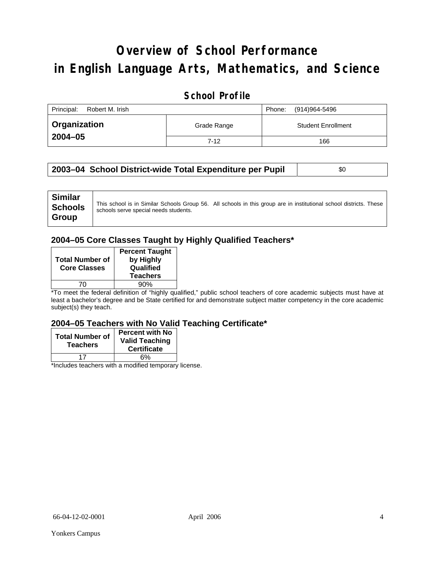# **Overview of School Performance in English Language Arts, Mathematics, and Science**

### **School Profile**

| Principal:<br>Robert M. Irish |                                          | (914)964-5496<br>Phone: |
|-------------------------------|------------------------------------------|-------------------------|
| <b>Organization</b>           | <b>Student Enrollment</b><br>Grade Range |                         |
| $2004 - 05$                   | $7 - 12$                                 | 166                     |

### **2003-04 School District-wide Total Expenditure per Pupil | \$0 \$0**

| <b>Similar</b><br><b>Schools</b><br>Group | schools serve special needs students. | This school is in Similar Schools Group 56. All schools in this group are in institutional school districts. These |
|-------------------------------------------|---------------------------------------|--------------------------------------------------------------------------------------------------------------------|
|-------------------------------------------|---------------------------------------|--------------------------------------------------------------------------------------------------------------------|

### **2004–05 Core Classes Taught by Highly Qualified Teachers\***

| <b>Total Number of</b><br><b>Core Classes</b> | <b>Percent Taught</b><br>by Highly<br>Qualified<br><b>Teachers</b> |
|-----------------------------------------------|--------------------------------------------------------------------|
|                                               | 90%                                                                |

\*To meet the federal definition of "highly qualified," public school teachers of core academic subjects must have at least a bachelor's degree and be State certified for and demonstrate subject matter competency in the core academic subject(s) they teach.

### **2004–05 Teachers with No Valid Teaching Certificate\***

| <b>Total Number of</b><br><b>Teachers</b> | <b>Percent with No</b><br><b>Valid Teaching</b><br><b>Certificate</b> |
|-------------------------------------------|-----------------------------------------------------------------------|
|                                           | 6%                                                                    |
| $\mathbf{A}$<br>$\cdots$                  |                                                                       |

\*Includes teachers with a modified temporary license.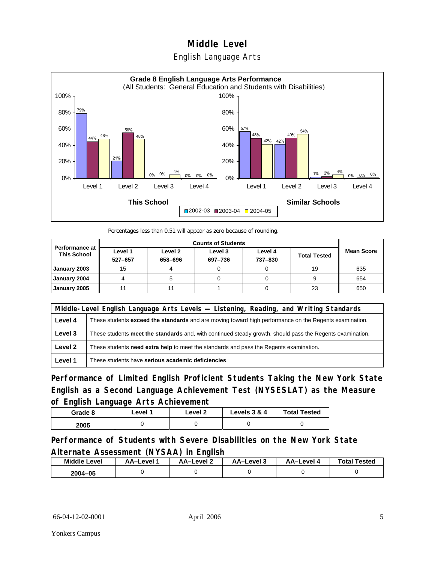### English Language Arts



Percentages less than 0.51 will appear as zero because of rounding.

| <b>Performance at</b><br><b>This School</b> | Level 1<br>527-657 | Level 2<br>658-696 | Level 3<br>697-736 | Level 4<br>737-830 | <b>Total Tested</b> | <b>Mean Score</b> |
|---------------------------------------------|--------------------|--------------------|--------------------|--------------------|---------------------|-------------------|
| January 2003                                | 15                 |                    |                    |                    | 19                  | 635               |
| January 2004                                |                    |                    |                    |                    |                     | 654               |
| January 2005                                |                    |                    |                    |                    | 23                  | 650               |

|         | Middle-Level English Language Arts Levels — Listening, Reading, and Writing Standards                     |  |  |  |  |
|---------|-----------------------------------------------------------------------------------------------------------|--|--|--|--|
| Level 4 | These students exceed the standards and are moving toward high performance on the Regents examination.    |  |  |  |  |
| Level 3 | These students meet the standards and, with continued steady growth, should pass the Regents examination. |  |  |  |  |
| Level 2 | These students <b>need extra help</b> to meet the standards and pass the Regents examination.             |  |  |  |  |
| Level 1 | These students have serious academic deficiencies.                                                        |  |  |  |  |

**Performance of Limited English Proficient Students Taking the New York State English as a Second Language Achievement Test (NYSESLAT) as the Measure of English Language Arts Achievement**

| Grade 8 | ∟evel 1 | Level 2 | Levels 3 & 4 | <b>Total Tested</b> |
|---------|---------|---------|--------------|---------------------|
| 2005    |         |         |              |                     |

**Performance of Students with Severe Disabilities on the New York State Alternate Assessment (NYSAA) in English** 

| <b>Middle Level</b> | AA-Level | <b>AA-Level 2</b> | <b>AA-Level 3</b> | <b>AA-Level</b> | <b>Total Tested</b> |
|---------------------|----------|-------------------|-------------------|-----------------|---------------------|
| 2004-05             |          |                   |                   |                 |                     |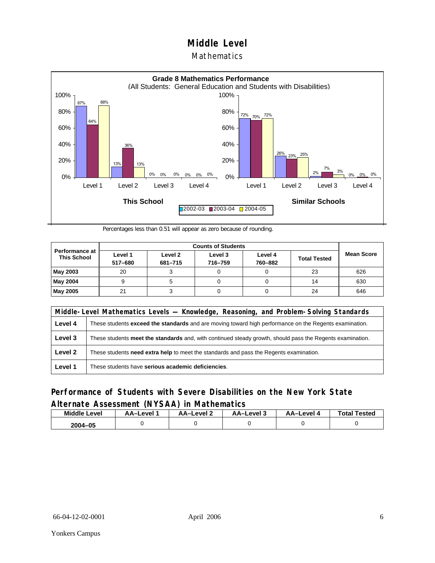### **Mathematics**



Percentages less than 0.51 will appear as zero because of rounding.

| <b>Performance at</b><br><b>This School</b> | Level 1<br>517-680 | Level 2<br>681-715 | Level 3<br>716-759 | Level 4<br>760-882 | <b>Total Tested</b> | <b>Mean Score</b> |
|---------------------------------------------|--------------------|--------------------|--------------------|--------------------|---------------------|-------------------|
| May 2003                                    | 20                 |                    |                    |                    | 23                  | 626               |
| May 2004                                    |                    |                    |                    |                    | 14                  | 630               |
| May 2005                                    | 21                 |                    |                    |                    | 24                  | 646               |

|         | Middle-Level Mathematics Levels — Knowledge, Reasoning, and Problem-Solving Standards                         |  |  |  |  |
|---------|---------------------------------------------------------------------------------------------------------------|--|--|--|--|
| Level 4 | These students <b>exceed the standards</b> and are moving toward high performance on the Regents examination. |  |  |  |  |
| Level 3 | These students meet the standards and, with continued steady growth, should pass the Regents examination.     |  |  |  |  |
| Level 2 | These students need extra help to meet the standards and pass the Regents examination.                        |  |  |  |  |
| Level 1 | These students have serious academic deficiencies.                                                            |  |  |  |  |

### **Performance of Students with Severe Disabilities on the New York State Alternate Assessment (NYSAA) in Mathematics**

| Middle<br>Level | AA-Level | AA-Level 2 | د AA–Level | AA–Level 4 | <b>Total Tested</b> |
|-----------------|----------|------------|------------|------------|---------------------|
| 2004-05         |          |            |            |            |                     |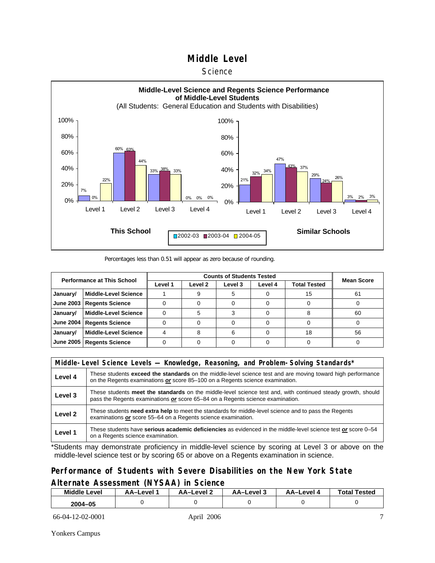#### **Science**



Percentages less than 0.51 will appear as zero because of rounding.

|                  | <b>Performance at This School</b> |         | <b>Counts of Students Tested</b> |         |         |                     |                   |  |  |  |
|------------------|-----------------------------------|---------|----------------------------------|---------|---------|---------------------|-------------------|--|--|--|
|                  |                                   | Level 1 | Level 2                          | Level 3 | Level 4 | <b>Total Tested</b> | <b>Mean Score</b> |  |  |  |
| January/         | <b>Middle-Level Science</b>       |         |                                  |         |         | 15                  | 61                |  |  |  |
| <b>June 2003</b> | <b>Regents Science</b>            |         |                                  |         |         |                     |                   |  |  |  |
| January/         | <b>Middle-Level Science</b>       |         |                                  |         |         |                     | 60                |  |  |  |
| <b>June 2004</b> | <b>Regents Science</b>            |         |                                  |         |         |                     |                   |  |  |  |
| January/         | <b>Middle-Level Science</b>       |         |                                  |         |         | 18                  | 56                |  |  |  |
| <b>June 2005</b> | <b>Regents Science</b>            |         |                                  |         |         |                     |                   |  |  |  |

|         | Middle-Level Science Levels — Knowledge, Reasoning, and Problem-Solving Standards*                                                                                                                  |  |  |  |  |  |  |  |  |
|---------|-----------------------------------------------------------------------------------------------------------------------------------------------------------------------------------------------------|--|--|--|--|--|--|--|--|
| Level 4 | These students <b>exceed the standards</b> on the middle-level science test and are moving toward high performance<br>on the Regents examinations or score 85-100 on a Regents science examination. |  |  |  |  |  |  |  |  |
| Level 3 | These students meet the standards on the middle-level science test and, with continued steady growth, should<br>pass the Regents examinations or score 65-84 on a Regents science examination.      |  |  |  |  |  |  |  |  |
| Level 2 | These students need extra help to meet the standards for middle-level science and to pass the Regents<br>examinations or score 55–64 on a Regents science examination.                              |  |  |  |  |  |  |  |  |
| Level 1 | These students have serious academic deficiencies as evidenced in the middle-level science test or score 0-54<br>on a Regents science examination.                                                  |  |  |  |  |  |  |  |  |

\*Students may demonstrate proficiency in middle-level science by scoring at Level 3 or above on the middle-level science test or by scoring 65 or above on a Regents examination in science.

### **Performance of Students with Severe Disabilities on the New York State Alternate Assessment (NYSAA) in Science**

| <b>Middle Level</b> | <b>AA-Level</b> | AA-Level 2 | AA-Level 3 | <b>AA-Level 4</b> | <b>Total Tested</b> |
|---------------------|-----------------|------------|------------|-------------------|---------------------|
| 2004-05             |                 |            |            |                   |                     |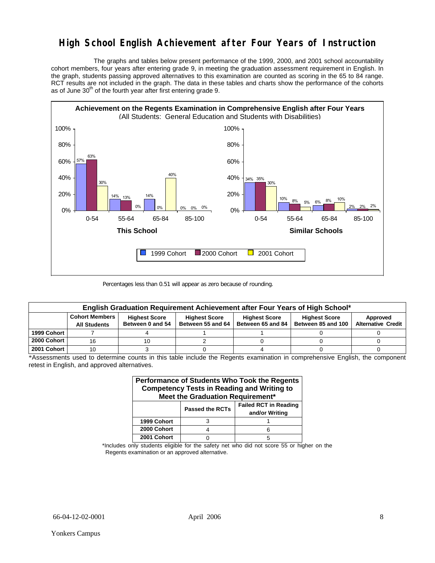## **High School English Achievement after Four Years of Instruction**

 The graphs and tables below present performance of the 1999, 2000, and 2001 school accountability cohort members, four years after entering grade 9, in meeting the graduation assessment requirement in English. In the graph, students passing approved alternatives to this examination are counted as scoring in the 65 to 84 range. RCT results are not included in the graph. The data in these tables and charts show the performance of the cohorts as of June  $30<sup>th</sup>$  of the fourth year after first entering grade 9.



Percentages less than 0.51 will appear as zero because of rounding.

| English Graduation Requirement Achievement after Four Years of High School* |                                              |                                          |                                           |                                           |                                            |                                       |  |  |  |  |
|-----------------------------------------------------------------------------|----------------------------------------------|------------------------------------------|-------------------------------------------|-------------------------------------------|--------------------------------------------|---------------------------------------|--|--|--|--|
|                                                                             | <b>Cohort Members</b><br><b>All Students</b> | <b>Highest Score</b><br>Between 0 and 54 | <b>Highest Score</b><br>Between 55 and 64 | <b>Highest Score</b><br>Between 65 and 84 | <b>Highest Score</b><br>Between 85 and 100 | Approved<br><b>Alternative Credit</b> |  |  |  |  |
| 1999 Cohort                                                                 |                                              |                                          |                                           |                                           |                                            |                                       |  |  |  |  |
| 2000 Cohort                                                                 | 16                                           |                                          |                                           |                                           |                                            |                                       |  |  |  |  |
| 2001 Cohort                                                                 |                                              |                                          |                                           |                                           |                                            |                                       |  |  |  |  |

\*Assessments used to determine counts in this table include the Regents examination in comprehensive English, the component retest in English, and approved alternatives.

| Performance of Students Who Took the Regents<br><b>Competency Tests in Reading and Writing to</b><br>Meet the Graduation Requirement* |  |   |  |  |  |  |  |  |  |
|---------------------------------------------------------------------------------------------------------------------------------------|--|---|--|--|--|--|--|--|--|
| <b>Failed RCT in Reading</b><br><b>Passed the RCTs</b><br>and/or Writing                                                              |  |   |  |  |  |  |  |  |  |
| 1999 Cohort                                                                                                                           |  |   |  |  |  |  |  |  |  |
| 2000 Cohort                                                                                                                           |  |   |  |  |  |  |  |  |  |
| 2001 Cohort                                                                                                                           |  | 5 |  |  |  |  |  |  |  |

\*Includes only students eligible for the safety net who did not score 55 or higher on the Regents examination or an approved alternative.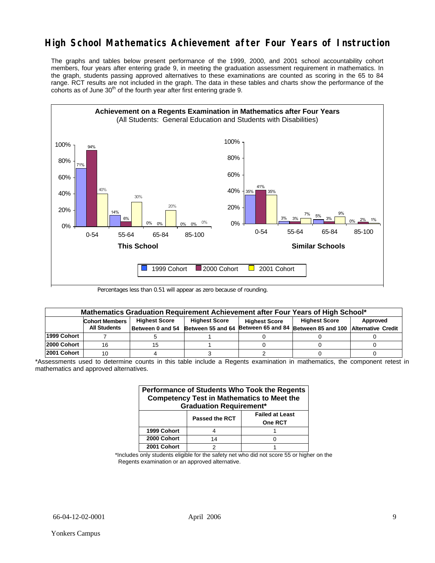# **High School Mathematics Achievement after Four Years of Instruction**

The graphs and tables below present performance of the 1999, 2000, and 2001 school accountability cohort members, four years after entering grade 9, in meeting the graduation assessment requirement in mathematics. In the graph, students passing approved alternatives to these examinations are counted as scoring in the 65 to 84 range. RCT results are not included in the graph. The data in these tables and charts show the performance of the cohorts as of June  $30<sup>th</sup>$  of the fourth year after first entering grade 9.



Percentages less than 0.51 will appear as zero because of rounding.

|              | Mathematics Graduation Requirement Achievement after Four Years of High School* |                      |                      |                      |                                                                           |          |  |  |  |  |
|--------------|---------------------------------------------------------------------------------|----------------------|----------------------|----------------------|---------------------------------------------------------------------------|----------|--|--|--|--|
|              | <b>Cohort Members</b>                                                           | <b>Highest Score</b> | <b>Highest Score</b> | <b>Highest Score</b> | <b>Highest Score</b>                                                      | Approved |  |  |  |  |
|              | <b>All Students</b>                                                             | Between 0 and 54     |                      |                      | Between 55 and 64 Between 65 and 84 Between 85 and 100 Alternative Credit |          |  |  |  |  |
| 1999 Cohort  |                                                                                 |                      |                      |                      |                                                                           |          |  |  |  |  |
| l2000 Cohort | 16                                                                              | 15                   |                      |                      |                                                                           |          |  |  |  |  |
| l2001 Cohort | 10                                                                              |                      |                      |                      |                                                                           |          |  |  |  |  |

<sup>\*</sup>Assessments used to determine counts in this table include a Regents examination in mathematics, the component retest in mathematics and approved alternatives.

| <b>Performance of Students Who Took the Regents</b><br><b>Competency Test in Mathematics to Meet the</b><br><b>Graduation Requirement*</b> |                                                                   |  |  |  |  |  |  |  |  |
|--------------------------------------------------------------------------------------------------------------------------------------------|-------------------------------------------------------------------|--|--|--|--|--|--|--|--|
|                                                                                                                                            | <b>Failed at Least</b><br><b>Passed the RCT</b><br><b>One RCT</b> |  |  |  |  |  |  |  |  |
| 1999 Cohort                                                                                                                                |                                                                   |  |  |  |  |  |  |  |  |
| 2000 Cohort                                                                                                                                | 14                                                                |  |  |  |  |  |  |  |  |
| 2001 Cohort                                                                                                                                |                                                                   |  |  |  |  |  |  |  |  |

\*Includes only students eligible for the safety net who did not score 55 or higher on the Regents examination or an approved alternative.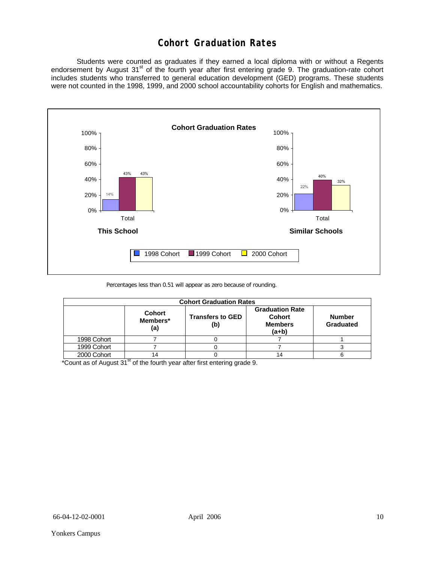## **Cohort Graduation Rates**

 Students were counted as graduates if they earned a local diploma with or without a Regents endorsement by August 31<sup>st</sup> of the fourth year after first entering grade 9. The graduation-rate cohort includes students who transferred to general education development (GED) programs. These students were not counted in the 1998, 1999, and 2000 school accountability cohorts for English and mathematics.



Percentages less than 0.51 will appear as zero because of rounding.

| <b>Cohort Graduation Rates</b> |                                  |                                |                                                                    |                            |  |  |  |  |  |
|--------------------------------|----------------------------------|--------------------------------|--------------------------------------------------------------------|----------------------------|--|--|--|--|--|
|                                | <b>Cohort</b><br>Members*<br>(a) | <b>Transfers to GED</b><br>(b) | <b>Graduation Rate</b><br><b>Cohort</b><br><b>Members</b><br>(a+b) | <b>Number</b><br>Graduated |  |  |  |  |  |
| 1998 Cohort                    |                                  |                                |                                                                    |                            |  |  |  |  |  |
| 1999 Cohort                    |                                  |                                |                                                                    |                            |  |  |  |  |  |
| 2000 Cohort                    | 14                               |                                |                                                                    |                            |  |  |  |  |  |

\*Count as of August  $31<sup>st</sup>$  of the fourth year after first entering grade 9.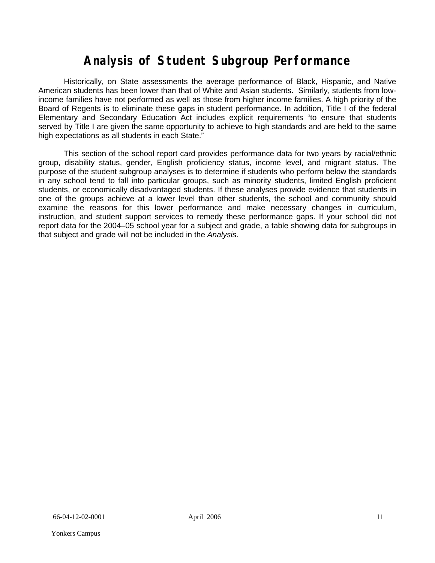# **Analysis of Student Subgroup Performance**

Historically, on State assessments the average performance of Black, Hispanic, and Native American students has been lower than that of White and Asian students. Similarly, students from lowincome families have not performed as well as those from higher income families. A high priority of the Board of Regents is to eliminate these gaps in student performance. In addition, Title I of the federal Elementary and Secondary Education Act includes explicit requirements "to ensure that students served by Title I are given the same opportunity to achieve to high standards and are held to the same high expectations as all students in each State."

This section of the school report card provides performance data for two years by racial/ethnic group, disability status, gender, English proficiency status, income level, and migrant status. The purpose of the student subgroup analyses is to determine if students who perform below the standards in any school tend to fall into particular groups, such as minority students, limited English proficient students, or economically disadvantaged students. If these analyses provide evidence that students in one of the groups achieve at a lower level than other students, the school and community should examine the reasons for this lower performance and make necessary changes in curriculum, instruction, and student support services to remedy these performance gaps. If your school did not report data for the 2004–05 school year for a subject and grade, a table showing data for subgroups in that subject and grade will not be included in the *Analysis*.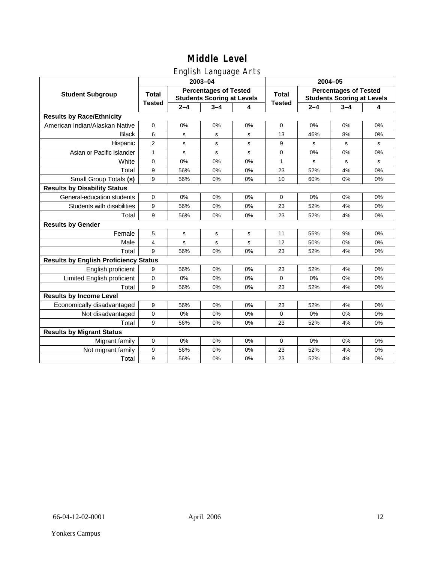### English Language Arts

|                                              |                |         | ັ<br>2003-04                                                      |    | 2004-05       |                                                                   |         |       |  |
|----------------------------------------------|----------------|---------|-------------------------------------------------------------------|----|---------------|-------------------------------------------------------------------|---------|-------|--|
| <b>Student Subgroup</b>                      | <b>Total</b>   |         | <b>Percentages of Tested</b><br><b>Students Scoring at Levels</b> |    | <b>Total</b>  | <b>Percentages of Tested</b><br><b>Students Scoring at Levels</b> |         |       |  |
|                                              | <b>Tested</b>  | $2 - 4$ | $3 - 4$                                                           | 4  | <b>Tested</b> | $2 - 4$                                                           | $3 - 4$ | 4     |  |
| <b>Results by Race/Ethnicity</b>             |                |         |                                                                   |    |               |                                                                   |         |       |  |
| American Indian/Alaskan Native               | $\mathbf 0$    | 0%      | 0%                                                                | 0% | $\Omega$      | 0%                                                                | 0%      | 0%    |  |
| <b>Black</b>                                 | 6              | s       | s                                                                 | s  | 13            | 46%                                                               | 8%      | 0%    |  |
| Hispanic                                     | $\overline{2}$ | s       | s                                                                 | s  | 9             | s                                                                 | s       | s     |  |
| Asian or Pacific Islander                    | 1              | s       | ${\bf s}$                                                         | s  | 0             | 0%                                                                | 0%      | 0%    |  |
| White                                        | 0              | 0%      | 0%                                                                | 0% | 1             | s                                                                 | s       | s     |  |
| Total                                        | 9              | 56%     | 0%                                                                | 0% | 23            | 52%                                                               | 4%      | $0\%$ |  |
| Small Group Totals (s)                       | 9              | 56%     | 0%                                                                | 0% | 10            | 60%                                                               | 0%      | 0%    |  |
| <b>Results by Disability Status</b>          |                |         |                                                                   |    |               |                                                                   |         |       |  |
| General-education students                   | 0              | 0%      | 0%                                                                | 0% | $\mathbf 0$   | 0%                                                                | 0%      | 0%    |  |
| Students with disabilities                   | 9              | 56%     | 0%                                                                | 0% | 23            | 52%                                                               | 4%      | 0%    |  |
| Total                                        | 9              | 56%     | 0%                                                                | 0% | 23            | 52%                                                               | 4%      | 0%    |  |
| <b>Results by Gender</b>                     |                |         |                                                                   |    |               |                                                                   |         |       |  |
| Female                                       | 5              | s       | s                                                                 | s  | 11            | 55%                                                               | 9%      | 0%    |  |
| Male                                         | 4              | s       | s                                                                 | s  | 12            | 50%                                                               | 0%      | 0%    |  |
| Total                                        | 9              | 56%     | 0%                                                                | 0% | 23            | 52%                                                               | 4%      | 0%    |  |
| <b>Results by English Proficiency Status</b> |                |         |                                                                   |    |               |                                                                   |         |       |  |
| English proficient                           | 9              | 56%     | 0%                                                                | 0% | 23            | 52%                                                               | 4%      | 0%    |  |
| Limited English proficient                   | 0              | 0%      | 0%                                                                | 0% | $\mathbf 0$   | 0%                                                                | 0%      | 0%    |  |
| Total                                        | 9              | 56%     | 0%                                                                | 0% | 23            | 52%                                                               | 4%      | 0%    |  |
| <b>Results by Income Level</b>               |                |         |                                                                   |    |               |                                                                   |         |       |  |
| Economically disadvantaged                   | 9              | 56%     | 0%                                                                | 0% | 23            | 52%                                                               | 4%      | 0%    |  |
| Not disadvantaged                            | $\mathbf 0$    | 0%      | 0%                                                                | 0% | $\mathbf 0$   | 0%                                                                | 0%      | 0%    |  |
| Total                                        | 9              | 56%     | 0%                                                                | 0% | 23            | 52%                                                               | 4%      | 0%    |  |
| <b>Results by Migrant Status</b>             |                |         |                                                                   |    |               |                                                                   |         |       |  |
| Migrant family                               | 0              | 0%      | 0%                                                                | 0% | 0             | 0%                                                                | 0%      | 0%    |  |
| Not migrant family                           | 9              | 56%     | 0%                                                                | 0% | 23            | 52%                                                               | 4%      | 0%    |  |
| Total                                        | 9              | 56%     | 0%                                                                | 0% | 23            | 52%                                                               | 4%      | 0%    |  |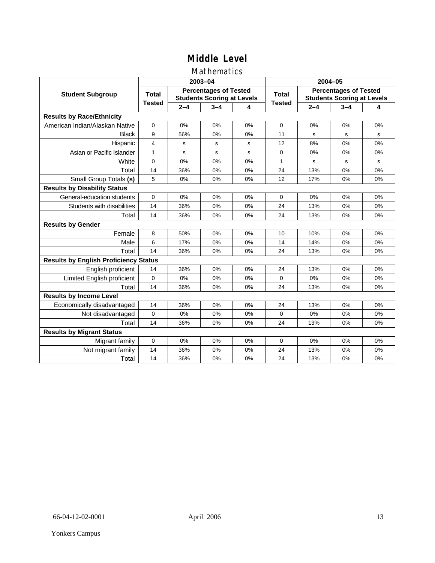### Mathematics

|                                              |               |         | 2003-04                                                           |    | 2004-05       |                                                                   |         |    |  |
|----------------------------------------------|---------------|---------|-------------------------------------------------------------------|----|---------------|-------------------------------------------------------------------|---------|----|--|
| <b>Student Subgroup</b>                      | <b>Total</b>  |         | <b>Percentages of Tested</b><br><b>Students Scoring at Levels</b> |    | <b>Total</b>  | <b>Percentages of Tested</b><br><b>Students Scoring at Levels</b> |         |    |  |
|                                              | <b>Tested</b> | $2 - 4$ | $3 - 4$                                                           | 4  | <b>Tested</b> | $2 - 4$                                                           | $3 - 4$ | 4  |  |
| <b>Results by Race/Ethnicity</b>             |               |         |                                                                   |    |               |                                                                   |         |    |  |
| American Indian/Alaskan Native               | 0             | 0%      | 0%                                                                | 0% | $\Omega$      | 0%                                                                | 0%      | 0% |  |
| <b>Black</b>                                 | 9             | 56%     | 0%                                                                | 0% | 11            | s                                                                 | s       | s  |  |
| Hispanic                                     | 4             | s       | s                                                                 | s  | 12            | 8%                                                                | 0%      | 0% |  |
| Asian or Pacific Islander                    | $\mathbf{1}$  | s       | $\mathbf s$                                                       | s  | $\mathbf 0$   | 0%                                                                | 0%      | 0% |  |
| White                                        | 0             | 0%      | 0%                                                                | 0% | 1             | s                                                                 | s       | s  |  |
| Total                                        | 14            | 36%     | 0%                                                                | 0% | 24            | 13%                                                               | 0%      | 0% |  |
| Small Group Totals (s)                       | 5             | 0%      | 0%                                                                | 0% | 12            | 17%                                                               | 0%      | 0% |  |
| <b>Results by Disability Status</b>          |               |         |                                                                   |    |               |                                                                   |         |    |  |
| General-education students                   | $\Omega$      | 0%      | 0%                                                                | 0% | $\Omega$      | 0%                                                                | 0%      | 0% |  |
| Students with disabilities                   | 14            | 36%     | 0%                                                                | 0% | 24            | 13%                                                               | 0%      | 0% |  |
| Total                                        | 14            | 36%     | 0%                                                                | 0% | 24            | 13%                                                               | 0%      | 0% |  |
| <b>Results by Gender</b>                     |               |         |                                                                   |    |               |                                                                   |         |    |  |
| Female                                       | 8             | 50%     | 0%                                                                | 0% | 10            | 10%                                                               | 0%      | 0% |  |
| Male                                         | 6             | 17%     | 0%                                                                | 0% | 14            | 14%                                                               | 0%      | 0% |  |
| Total                                        | 14            | 36%     | 0%                                                                | 0% | 24            | 13%                                                               | 0%      | 0% |  |
| <b>Results by English Proficiency Status</b> |               |         |                                                                   |    |               |                                                                   |         |    |  |
| English proficient                           | 14            | 36%     | 0%                                                                | 0% | 24            | 13%                                                               | 0%      | 0% |  |
| Limited English proficient                   | $\Omega$      | 0%      | 0%                                                                | 0% | $\Omega$      | 0%                                                                | 0%      | 0% |  |
| Total                                        | 14            | 36%     | 0%                                                                | 0% | 24            | 13%                                                               | 0%      | 0% |  |
| <b>Results by Income Level</b>               |               |         |                                                                   |    |               |                                                                   |         |    |  |
| Economically disadvantaged                   | 14            | 36%     | 0%                                                                | 0% | 24            | 13%                                                               | 0%      | 0% |  |
| Not disadvantaged                            | 0             | 0%      | 0%                                                                | 0% | $\Omega$      | 0%                                                                | 0%      | 0% |  |
| Total                                        | 14            | 36%     | 0%                                                                | 0% | 24            | 13%                                                               | 0%      | 0% |  |
| <b>Results by Migrant Status</b>             |               |         |                                                                   |    |               |                                                                   |         |    |  |
| Migrant family                               | 0             | 0%      | 0%                                                                | 0% | $\mathbf 0$   | 0%                                                                | 0%      | 0% |  |
| Not migrant family                           | 14            | 36%     | 0%                                                                | 0% | 24            | 13%                                                               | 0%      | 0% |  |
| Total                                        | 14            | 36%     | 0%                                                                | 0% | 24            | 13%                                                               | 0%      | 0% |  |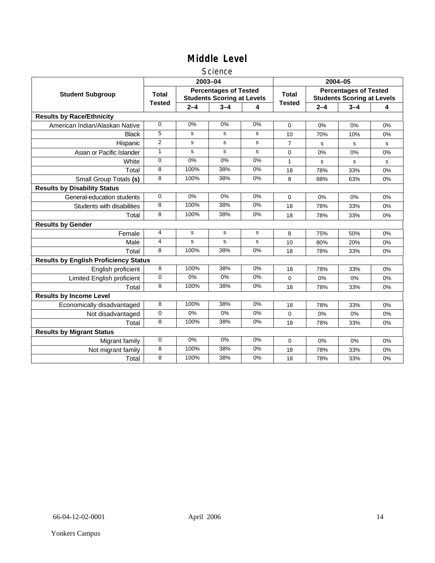### **Science**

|                                              |               | 2003-04   |                                                                   |       | 2004-05        |                                                                   |         |    |
|----------------------------------------------|---------------|-----------|-------------------------------------------------------------------|-------|----------------|-------------------------------------------------------------------|---------|----|
| <b>Student Subgroup</b>                      | <b>Total</b>  |           | <b>Percentages of Tested</b><br><b>Students Scoring at Levels</b> |       | <b>Total</b>   | <b>Percentages of Tested</b><br><b>Students Scoring at Levels</b> |         |    |
|                                              | <b>Tested</b> | $2 - 4$   | $3 - 4$                                                           | 4     | <b>Tested</b>  | $2 - 4$                                                           | $3 - 4$ | 4  |
| <b>Results by Race/Ethnicity</b>             |               |           |                                                                   |       |                |                                                                   |         |    |
| American Indian/Alaskan Native               | $\Omega$      | 0%        | 0%                                                                | 0%    | $\Omega$       | 0%                                                                | 0%      | 0% |
| <b>Black</b>                                 | 5             | s         | s                                                                 | s     | 10             | 70%                                                               | 10%     | 0% |
| Hispanic                                     | 2             | s         | s                                                                 | s     | $\overline{7}$ | s                                                                 | s       | s  |
| Asian or Pacific Islander                    | $\mathbf{1}$  | s         | s                                                                 | s     | 0              | 0%                                                                | $0\%$   | 0% |
| White                                        | 0             | 0%        | 0%                                                                | $0\%$ | 1              | $\mathbf s$                                                       | s       | s  |
| Total                                        | 8             | 100%      | 38%                                                               | 0%    | 18             | 78%                                                               | 33%     | 0% |
| Small Group Totals (s)                       | 8             | 100%      | 38%                                                               | $0\%$ | 8              | 88%                                                               | 63%     | 0% |
| <b>Results by Disability Status</b>          |               |           |                                                                   |       |                |                                                                   |         |    |
| General-education students                   | $\Omega$      | 0%        | 0%                                                                | 0%    | $\Omega$       | 0%                                                                | 0%      | 0% |
| Students with disabilities                   | 8             | 100%      | 38%                                                               | 0%    | 18             | 78%                                                               | 33%     | 0% |
| Total                                        | 8             | 100%      | 38%                                                               | 0%    | 18             | 78%                                                               | 33%     | 0% |
| <b>Results by Gender</b>                     |               |           |                                                                   |       |                |                                                                   |         |    |
| Female                                       | 4             | ${\tt s}$ | $\mathbf s$                                                       | s     | 8              | 75%                                                               | 50%     | 0% |
| Male                                         | 4             | s         | s                                                                 | s     | 10             | 80%                                                               | 20%     | 0% |
| Total                                        | 8             | 100%      | 38%                                                               | 0%    | 18             | 78%                                                               | 33%     | 0% |
| <b>Results by English Proficiency Status</b> |               |           |                                                                   |       |                |                                                                   |         |    |
| English proficient                           | 8             | 100%      | 38%                                                               | 0%    | 18             | 78%                                                               | 33%     | 0% |
| Limited English proficient                   | $\Omega$      | $0\%$     | 0%                                                                | $0\%$ | 0              | 0%                                                                | 0%      | 0% |
| Total                                        | 8             | 100%      | 38%                                                               | 0%    | 18             | 78%                                                               | 33%     | 0% |
| <b>Results by Income Level</b>               |               |           |                                                                   |       |                |                                                                   |         |    |
| Economically disadvantaged                   | 8             | 100%      | 38%                                                               | 0%    | 18             | 78%                                                               | 33%     | 0% |
| Not disadvantaged                            | 0             | 0%        | 0%                                                                | 0%    | 0              | 0%                                                                | 0%      | 0% |
| Total                                        | 8             | 100%      | 38%                                                               | 0%    | 18             | 78%                                                               | 33%     | 0% |
| <b>Results by Migrant Status</b>             |               |           |                                                                   |       |                |                                                                   |         |    |
| Migrant family                               | 0             | 0%        | 0%                                                                | 0%    | 0              | 0%                                                                | 0%      | 0% |
| Not migrant family                           | 8             | 100%      | 38%                                                               | 0%    | 18             | 78%                                                               | 33%     | 0% |
| Total                                        | 8             | 100%      | 38%                                                               | 0%    | 18             | 78%                                                               | 33%     | 0% |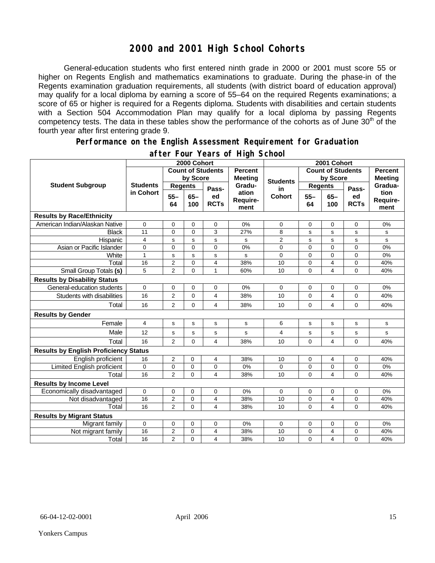### **2000 and 2001 High School Cohorts**

General-education students who first entered ninth grade in 2000 or 2001 must score 55 or higher on Regents English and mathematics examinations to graduate. During the phase-in of the Regents examination graduation requirements, all students (with district board of education approval) may qualify for a local diploma by earning a score of 55–64 on the required Regents examinations; a score of 65 or higher is required for a Regents diploma. Students with disabilities and certain students with a Section 504 Accommodation Plan may qualify for a local diploma by passing Regents competency tests. The data in these tables show the performance of the cohorts as of June 30<sup>th</sup> of the fourth year after first entering grade 9.

#### **Performance on the English Assessment Requirement for Graduation**

|                                              |                 |                                                    | 2000 Cohort               |                          |                |                 | 2001 Cohort       |                          |                |                |
|----------------------------------------------|-----------------|----------------------------------------------------|---------------------------|--------------------------|----------------|-----------------|-------------------|--------------------------|----------------|----------------|
|                                              |                 |                                                    |                           | <b>Count of Students</b> | <b>Percent</b> |                 |                   | <b>Count of Students</b> |                | <b>Percent</b> |
|                                              |                 |                                                    | by Score                  |                          | <b>Meeting</b> | <b>Students</b> | by Score          |                          |                | <b>Meeting</b> |
| <b>Student Subgroup</b>                      | <b>Students</b> | <b>Regents</b><br>Pass-                            |                           | Gradu-                   | in             | <b>Regents</b>  |                   | Pass-                    | Gradua-        |                |
|                                              | in Cohort       | $55 -$<br>$65 -$<br>ed<br><b>RCTs</b><br>64<br>100 | ation<br>Require-<br>ment | <b>Cohort</b>            | $55 -$<br>64   | $65 -$<br>100   | ed<br><b>RCTs</b> | tion<br>Require-<br>ment |                |                |
| <b>Results by Race/Ethnicity</b>             |                 |                                                    |                           |                          |                |                 |                   |                          |                |                |
| American Indian/Alaskan Native               | 0               | 0                                                  | $\mathbf 0$               | 0                        | 0%             | 0               | 0                 | $\mathbf 0$              | 0              | 0%             |
| <b>Black</b>                                 | 11              | $\Omega$                                           | $\Omega$                  | 3                        | 27%            | 8               | s                 | s                        | s              | s              |
| Hispanic                                     | $\overline{4}$  | S                                                  | s                         | s                        | s              | 2               | s                 | s                        | s              | s              |
| Asian or Pacific Islander                    | $\mathbf 0$     | $\mathbf 0$                                        | $\Omega$                  | $\overline{0}$           | 0%             | 0               | $\mathbf 0$       | $\Omega$                 | $\overline{0}$ | 0%             |
| White                                        | $\mathbf{1}$    | s                                                  | $\mathbf s$               | s                        | s              | 0               | 0                 | $\mathbf 0$              | 0              | 0%             |
| Total                                        | 16              | $\overline{2}$                                     | $\mathbf 0$               | $\overline{4}$           | 38%            | 10              | $\mathsf 0$       | 4                        | 0              | 40%            |
| Small Group Totals (s)                       | 5               | $\overline{2}$                                     | $\mathbf 0$               | 1                        | 60%            | 10              | 0                 | 4                        | $\overline{0}$ | 40%            |
| <b>Results by Disability Status</b>          |                 |                                                    |                           |                          |                |                 |                   |                          |                |                |
| General-education students                   | 0               | 0                                                  | $\mathbf 0$               | 0                        | 0%             | 0               | 0                 | $\mathbf 0$              | $\mathbf 0$    | 0%             |
| Students with disabilities                   | 16              | 2                                                  | $\mathbf 0$               | 4                        | 38%            | 10              | 0                 | 4                        | 0              | 40%            |
| Total                                        | 16              | 2                                                  | 0                         | 4                        | 38%            | 10              | 0                 | 4                        | 0              | 40%            |
| <b>Results by Gender</b>                     |                 |                                                    |                           |                          |                |                 |                   |                          |                |                |
| Female                                       | 4               | s                                                  | s                         | s                        | $\mathbf{s}$   | 6               | s                 | s                        | s              | s              |
| Male                                         | 12              | S                                                  | $\mathbf s$               | s                        | s              | 4               | s                 | s                        | s              | s              |
| Total                                        | 16              | $\overline{2}$                                     | 0                         | 4                        | 38%            | 10              | $\overline{0}$    | 4                        | 0              | 40%            |
| <b>Results by English Proficiency Status</b> |                 |                                                    |                           |                          |                |                 |                   |                          |                |                |
| English proficient                           | 16              | 2                                                  | 0                         | 4                        | 38%            | 10              | 0                 | 4                        | 0              | 40%            |
| Limited English proficient                   | 0               | 0                                                  | $\mathbf 0$               | 0                        | 0%             | 0               | 0                 | 0                        | 0              | 0%             |
| Total                                        | 16              | $\overline{2}$                                     | 0                         | 4                        | 38%            | 10              | $\Omega$          | 4                        | $\Omega$       | 40%            |
| <b>Results by Income Level</b>               |                 |                                                    |                           |                          |                |                 |                   |                          |                |                |
| Economically disadvantaged                   | 0               | $\pmb{0}$                                          | $\mathbf 0$               | 0                        | 0%             | 0               | 0                 | $\mathbf 0$              | 0              | 0%             |
| Not disadvantaged                            | 16              | $\overline{c}$                                     | $\mathbf 0$               | 4                        | 38%            | 10              | $\mathbf 0$       | 4                        | 0              | 40%            |
| Total                                        | 16              | $\overline{2}$                                     | $\Omega$                  | 4                        | 38%            | 10              | $\Omega$          | 4                        | $\overline{0}$ | 40%            |
| <b>Results by Migrant Status</b>             |                 |                                                    |                           |                          |                |                 |                   |                          |                |                |
| Migrant family                               | 0               | 0                                                  | 0                         | 0                        | 0%             | 0               | 0                 | 0                        | 0              | 0%             |
| Not migrant family                           | 16              | 2                                                  | $\mathbf 0$               | 4                        | 38%            | 10              | 0                 | 4                        | 0              | 40%            |
| Total                                        | 16              | $\overline{2}$                                     | $\mathbf 0$               | $\overline{4}$           | 38%            | 10              | 0                 | 4                        | 0              | 40%            |

### **after Four Years of High School**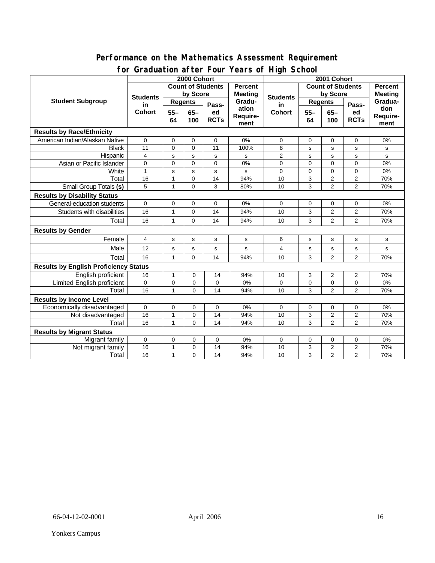### **Performance on the Mathematics Assessment Requirement for Graduation after Four Years of High School**

|                                              | $a$ and $b$ and $c$ and $c$ and $c$ and $c$ and $c$ and $c$ and $c$ and $c$ and $c$ and $c$ and $c$ and $c$ and $c$ and $c$ and $c$ and $c$ and $c$ and $c$ and $c$ and $c$ and $c$ and $c$ and $c$ and $c$ and $c$ and $c$ a<br>2000 Cohort |                          |             |             |                                  | 2001 Cohort     |                          |                         |                                  |              |  |
|----------------------------------------------|----------------------------------------------------------------------------------------------------------------------------------------------------------------------------------------------------------------------------------------------|--------------------------|-------------|-------------|----------------------------------|-----------------|--------------------------|-------------------------|----------------------------------|--------------|--|
| <b>Student Subgroup</b>                      |                                                                                                                                                                                                                                              | <b>Count of Students</b> |             |             | <b>Percent</b><br><b>Meeting</b> | <b>Students</b> | <b>Count of Students</b> |                         | <b>Percent</b><br><b>Meeting</b> |              |  |
|                                              | <b>Students</b><br>in.                                                                                                                                                                                                                       | by Score                 |             |             |                                  |                 | by Score                 |                         |                                  |              |  |
|                                              |                                                                                                                                                                                                                                              | <b>Regents</b>           |             | Pass-       | Gradu-                           | in              | Regents                  |                         | Pass-                            | Gradua-      |  |
|                                              | Cohort                                                                                                                                                                                                                                       | $55 -$                   | $65-$       | ed          | ation                            | <b>Cohort</b>   | $55 -$                   | $65-$                   | ed                               | tion         |  |
|                                              |                                                                                                                                                                                                                                              | 64                       | 100         | <b>RCTs</b> | Require-                         |                 | 64                       | 100                     | <b>RCTs</b>                      | Require-     |  |
| <b>Results by Race/Ethnicity</b>             |                                                                                                                                                                                                                                              |                          |             |             | ment                             |                 |                          |                         |                                  | ment         |  |
|                                              |                                                                                                                                                                                                                                              |                          |             |             |                                  |                 |                          |                         |                                  |              |  |
| American Indian/Alaskan Native               | 0                                                                                                                                                                                                                                            | $\mathbf 0$              | $\mathbf 0$ | $\mathbf 0$ | 0%                               | $\mathbf 0$     | 0                        | $\mathbf 0$             | $\mathbf 0$                      | 0%           |  |
| <b>Black</b>                                 | 11                                                                                                                                                                                                                                           | $\mathbf 0$              | $\Omega$    | 11          | 100%                             | 8               | s                        | s                       | s                                | s            |  |
| Hispanic                                     | $\overline{4}$                                                                                                                                                                                                                               | s                        | s           | s           | s                                | $\overline{2}$  | s                        | s                       | s                                | s            |  |
| Asian or Pacific Islander                    | $\overline{0}$                                                                                                                                                                                                                               | $\mathbf 0$              | $\Omega$    | $\Omega$    | 0%                               | $\Omega$        | $\overline{0}$           | $\overline{0}$          | $\Omega$                         | 0%           |  |
| White                                        | $\mathbf{1}$                                                                                                                                                                                                                                 | s                        | s           | s           | s                                | $\Omega$        | $\Omega$                 | $\Omega$                | $\Omega$                         | 0%           |  |
| Total                                        | 16                                                                                                                                                                                                                                           | $\mathbf{1}$             | $\mathbf 0$ | 14          | 94%                              | 10              | 3                        | $\overline{c}$          | $\overline{2}$                   | 70%          |  |
| Small Group Totals (s)                       | 5                                                                                                                                                                                                                                            | 1                        | $\Omega$    | 3           | 80%                              | 10              | 3                        | $\overline{2}$          | $\overline{2}$                   | 70%          |  |
|                                              | <b>Results by Disability Status</b>                                                                                                                                                                                                          |                          |             |             |                                  |                 |                          |                         |                                  |              |  |
| General-education students                   | 0                                                                                                                                                                                                                                            | $\mathbf 0$              | 0           | 0           | 0%                               | 0               | 0                        | 0                       | 0                                | 0%           |  |
| Students with disabilities                   | 16                                                                                                                                                                                                                                           | $\mathbf{1}$             | $\mathbf 0$ | 14          | 94%                              | 10              | 3                        | $\overline{\mathbf{c}}$ | 2                                | 70%          |  |
| Total                                        | 16                                                                                                                                                                                                                                           | $\mathbf{1}$             | $\Omega$    | 14          | 94%                              | 10              | 3                        | 2                       | $\overline{2}$                   | 70%          |  |
| <b>Results by Gender</b>                     |                                                                                                                                                                                                                                              |                          |             |             |                                  |                 |                          |                         |                                  |              |  |
| Female                                       | 4                                                                                                                                                                                                                                            | $\mathbf s$              | $\mathbf s$ | s           | s                                | 6               | s                        | $\mathbf s$             | s                                | s            |  |
| Male                                         | 12                                                                                                                                                                                                                                           | s                        | s           | s           | s                                | 4               | s                        | $\mathbf s$             | s                                | $\mathbf{s}$ |  |
| Total                                        | 16                                                                                                                                                                                                                                           | 1                        | $\Omega$    | 14          | 94%                              | 10              | 3                        | 2                       | $\overline{2}$                   | 70%          |  |
| <b>Results by English Proficiency Status</b> |                                                                                                                                                                                                                                              |                          |             |             |                                  |                 |                          |                         |                                  |              |  |
| English proficient                           | 16                                                                                                                                                                                                                                           | $\mathbf{1}$             | $\mathbf 0$ | 14          | 94%                              | 10              | 3                        | 2                       | $\overline{2}$                   | 70%          |  |
| <b>Limited English proficient</b>            | $\mathbf 0$                                                                                                                                                                                                                                  | $\mathbf 0$              | $\mathbf 0$ | 0           | 0%                               | $\Omega$        | 0                        | $\mathbf 0$             | 0                                | 0%           |  |
| Total                                        | 16                                                                                                                                                                                                                                           | 1                        | $\Omega$    | 14          | 94%                              | 10              | 3                        | $\overline{2}$          | $\overline{2}$                   | 70%          |  |
| <b>Results by Income Level</b>               |                                                                                                                                                                                                                                              |                          |             |             |                                  |                 |                          |                         |                                  |              |  |
| Economically disadvantaged                   | 0                                                                                                                                                                                                                                            | $\mathbf 0$              | 0           | 0           | 0%                               | $\mathbf 0$     | $\mathbf 0$              | 0                       | 0                                | 0%           |  |
| Not disadvantaged                            | 16                                                                                                                                                                                                                                           | $\mathbf{1}$             | $\mathbf 0$ | 14          | 94%                              | 10              | 3                        | $\overline{2}$          | $\overline{\mathbf{c}}$          | 70%          |  |
| Total                                        | 16                                                                                                                                                                                                                                           | 1                        | $\Omega$    | 14          | 94%                              | 10              | 3                        | $\overline{2}$          | $\overline{2}$                   | 70%          |  |
| <b>Results by Migrant Status</b>             |                                                                                                                                                                                                                                              |                          |             |             |                                  |                 |                          |                         |                                  |              |  |
| Migrant family                               | $\mathbf 0$                                                                                                                                                                                                                                  | 0                        | 0           | 0           | 0%                               | $\mathbf 0$     | 0                        | 0                       | 0                                | 0%           |  |
| Not migrant family                           | 16                                                                                                                                                                                                                                           | $\mathbf{1}$             | 0           | 14          | 94%                              | 10              | 3                        | $\overline{2}$          | $\mathbf{2}$                     | 70%          |  |
| Total                                        | 16                                                                                                                                                                                                                                           | $\mathbf{1}$             | 0           | 14          | 94%                              | 10              | 3                        | 2                       | $\overline{2}$                   | 70%          |  |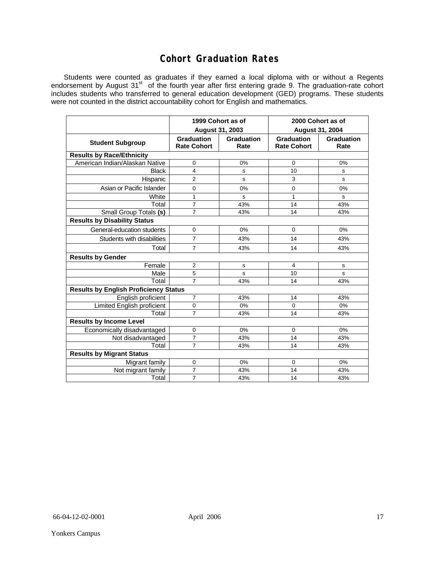### **Cohort Graduation Rates**

Students were counted as graduates if they earned a local diploma with or without a Regents endorsement by August 31<sup>st</sup> of the fourth year after first entering grade 9. The graduation-rate cohort includes students who transferred to general education development (GED) programs. These students were not counted in the district accountability cohort for English and mathematics.

|                                              | 1999 Cohort as of                       |                    | 2000 Cohort as of<br><b>August 31, 2004</b> |                    |  |  |  |  |  |  |
|----------------------------------------------|-----------------------------------------|--------------------|---------------------------------------------|--------------------|--|--|--|--|--|--|
|                                              | August 31, 2003                         |                    |                                             |                    |  |  |  |  |  |  |
| <b>Student Subgroup</b>                      | <b>Graduation</b><br><b>Rate Cohort</b> | Graduation<br>Rate | <b>Graduation</b><br><b>Rate Cohort</b>     | Graduation<br>Rate |  |  |  |  |  |  |
| <b>Results by Race/Ethnicity</b>             |                                         |                    |                                             |                    |  |  |  |  |  |  |
| American Indian/Alaskan Native               | 0                                       | 0%                 | 0                                           | 0%                 |  |  |  |  |  |  |
| <b>Black</b>                                 | 4                                       | s                  | 10                                          | s                  |  |  |  |  |  |  |
| Hispanic                                     | $\overline{2}$                          | S                  | 3                                           | s                  |  |  |  |  |  |  |
| Asian or Pacific Islander                    | $\Omega$                                | 0%                 | 0                                           | 0%                 |  |  |  |  |  |  |
| White                                        | 1                                       | s                  | 1                                           | s                  |  |  |  |  |  |  |
| Total                                        | $\overline{7}$                          | 43%                | 14                                          | 43%                |  |  |  |  |  |  |
| Small Group Totals (s)                       | $\overline{7}$                          | 43%                | 14                                          | 43%                |  |  |  |  |  |  |
| <b>Results by Disability Status</b>          |                                         |                    |                                             |                    |  |  |  |  |  |  |
| General-education students                   | $\mathbf 0$                             | 0%                 | $\mathbf 0$                                 | 0%                 |  |  |  |  |  |  |
| Students with disabilities                   | $\overline{7}$                          | 43%                | 14                                          | 43%                |  |  |  |  |  |  |
| Total                                        | $\overline{7}$                          | 43%                | 14                                          | 43%                |  |  |  |  |  |  |
| <b>Results by Gender</b>                     |                                         |                    |                                             |                    |  |  |  |  |  |  |
| Female                                       | $\overline{2}$                          | s                  | 4                                           | s                  |  |  |  |  |  |  |
| Male                                         | 5                                       | s                  | 10                                          | s                  |  |  |  |  |  |  |
| Total                                        | $\overline{7}$                          | 43%                | 14                                          | 43%                |  |  |  |  |  |  |
| <b>Results by English Proficiency Status</b> |                                         |                    |                                             |                    |  |  |  |  |  |  |
| English proficient                           | $\overline{7}$                          | 43%                | 14                                          | 43%                |  |  |  |  |  |  |
| <b>Limited English proficient</b>            | 0                                       | 0%                 | 0                                           | 0%                 |  |  |  |  |  |  |
| Total                                        | $\overline{7}$                          | 43%                | 14                                          | 43%                |  |  |  |  |  |  |
| <b>Results by Income Level</b>               |                                         |                    |                                             |                    |  |  |  |  |  |  |
| Economically disadvantaged                   | 0                                       | 0%                 | $\mathbf 0$                                 | 0%                 |  |  |  |  |  |  |
| Not disadvantaged                            | $\overline{7}$                          | 43%                | 14                                          | 43%                |  |  |  |  |  |  |
| Total                                        | $\overline{7}$                          | 43%                | 14                                          | 43%                |  |  |  |  |  |  |
| <b>Results by Migrant Status</b>             |                                         |                    |                                             |                    |  |  |  |  |  |  |
| Migrant family                               | 0                                       | 0%                 | $\mathbf 0$                                 | 0%                 |  |  |  |  |  |  |
| Not migrant family                           | $\overline{7}$                          | 43%                | 14                                          | 43%                |  |  |  |  |  |  |
| Total                                        | $\overline{7}$                          | 43%                | 14                                          | 43%                |  |  |  |  |  |  |